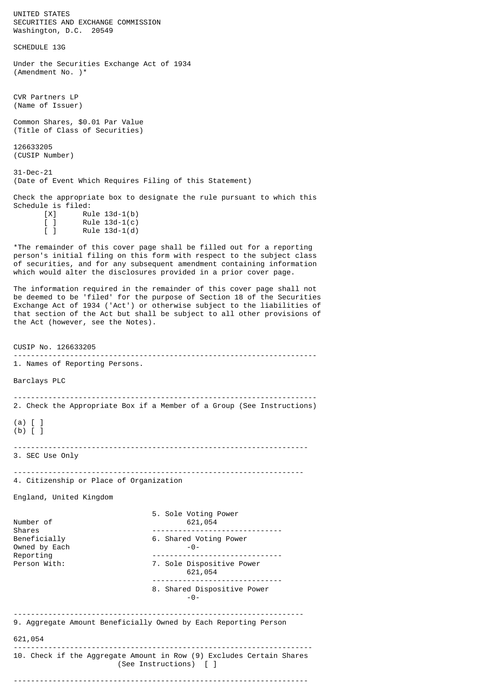UNITED STATES SECURITIES AND EXCHANGE COMMISSION Washington, D.C. 20549 SCHEDULE 13G Under the Securities Exchange Act of 1934 (Amendment No. )\* CVR Partners LP (Name of Issuer) Common Shares, \$0.01 Par Value (Title of Class of Securities) 126633205 (CUSIP Number) 31-Dec-21 (Date of Event Which Requires Filing of this Statement) Check the appropriate box to designate the rule pursuant to which this Schedule is filed:  $[X]$  Rule 13d-1(b)  $\begin{bmatrix} 1 & \text{Rule } 13d-1(c) \\ 1 & \text{Rule } 13d-1(d) \end{bmatrix}$  $Rule 13d-1(d)$ \*The remainder of this cover page shall be filled out for a reporting person's initial filing on this form with respect to the subject class of securities, and for any subsequent amendment containing information which would alter the disclosures provided in a prior cover page. The information required in the remainder of this cover page shall not be deemed to be 'filed' for the purpose of Section 18 of the Securities Exchange Act of 1934 ('Act') or otherwise subject to the liabilities of that section of the Act but shall be subject to all other provisions of the Act (however, see the Notes). CUSIP No. 126633205 ---------------------------------------------------------------------- 1. Names of Reporting Persons. Barclays PLC ---------------------------------------------------------------------- 2. Check the Appropriate Box if a Member of a Group (See Instructions) (a) [ ] (b) [ ] -------------------------------------------------------------------- 3. SEC Use Only ------------------------------------------------------------------- 4. Citizenship or Place of Organization England, United Kingdom 5. Sole Voting Power Number of 621, 054 Shares ------------------------------ 6. Shared Voting Power Owned by Each -0- Reporting<br>
Person With: T. Sole Dispositive Power 7. Sole Dispositive Power 621,054 ------------------------------ 8. Shared Dispositive Power -0- ------------------------------------------------------------------- 9. Aggregate Amount Beneficially Owned by Each Reporting Person 621,054 --------------------------------------------------------------------- 10. Check if the Aggregate Amount in Row (9) Excludes Certain Shares (See Instructions) [ ] --------------------------------------------------------------------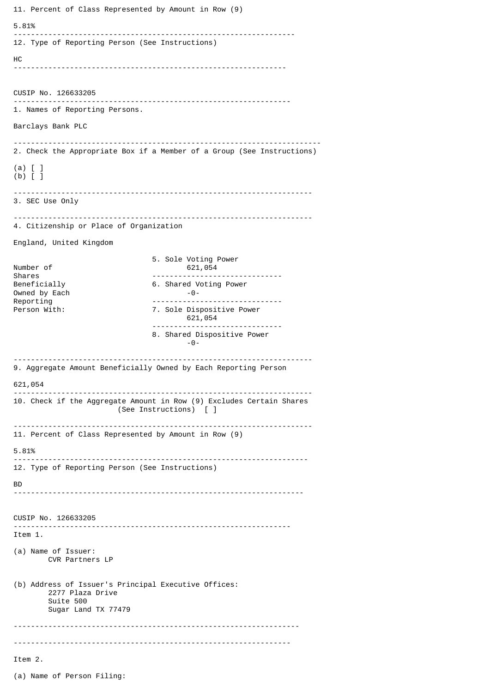11. Percent of Class Represented by Amount in Row (9) 5.81% ----------------------------------------------------------------- 12. Type of Reporting Person (See Instructions) HC --------------------------------------------------------------- CUSIP No. 126633205 ---------------------------------------------------------------- 1. Names of Reporting Persons. Barclays Bank PLC ----------------------------------------------------------------------- 2. Check the Appropriate Box if a Member of a Group (See Instructions) (a) [ ] (b) [ ] --------------------------------------------------------------------- 3. SEC Use Only --------------------------------------------------------------------- 4. Citizenship or Place of Organization England, United Kingdom 5. Sole Voting Power Number of 621,054<br>Shares extending the contract of 621,054 Shares ------------------------------ 6. Shared Voting Power<br>-0-Owned by Each<br>Reporting Reporting<br>
Person With: T. Sole Dispositive Power 7. Sole Dispositive Power 621,054 ------------------------------ 8. Shared Dispositive Power -0- --------------------------------------------------------------------- 9. Aggregate Amount Beneficially Owned by Each Reporting Person 621,054 --------------------------------------------------------------------- 10. Check if the Aggregate Amount in Row (9) Excludes Certain Shares (See Instructions) [ ] --------------------------------------------------------------------- 11. Percent of Class Represented by Amount in Row (9) 5.81% -------------------------------------------------------------------- 12. Type of Reporting Person (See Instructions) BD ------------------------------------------------------------------- CUSIP No. 126633205 ---------------------------------------------------------------- Item 1. (a) Name of Issuer: CVR Partners LP (b) Address of Issuer's Principal Executive Offices: 2277 Plaza Drive Suite 500 Sugar Land TX 77479 ------------------------------------------------------------------ ---------------------------------------------------------------- Item 2. (a) Name of Person Filing: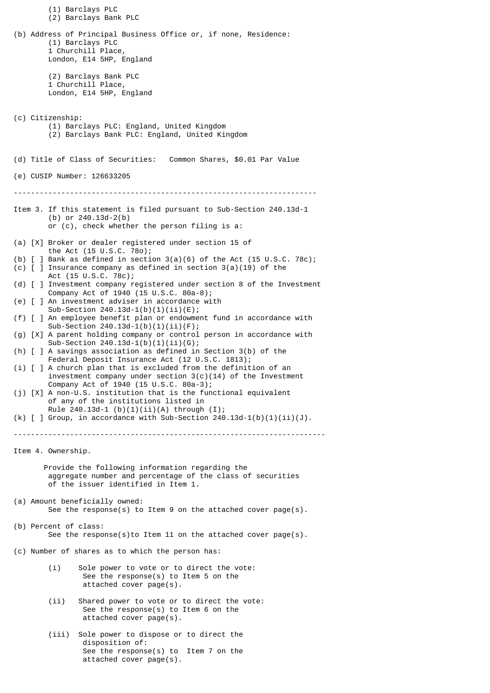(1) Barclays PLC (2) Barclays Bank PLC (b) Address of Principal Business Office or, if none, Residence: (1) Barclays PLC 1 Churchill Place, London, E14 5HP, England (2) Barclays Bank PLC 1 Churchill Place, London, E14 5HP, England (c) Citizenship: (1) Barclays PLC: England, United Kingdom (2) Barclays Bank PLC: England, United Kingdom (d) Title of Class of Securities: Common Shares, \$0.01 Par Value (e) CUSIP Number: 126633205 ---------------------------------------------------------------------- Item 3. If this statement is filed pursuant to Sub-Section 240.13d-1 (b) or 240.13d-2(b) or (c), check whether the person filing is a: (a) [X] Broker or dealer registered under section 15 of the Act (15 U.S.C. 78o); (b)  $\lceil$  ] Bank as defined in section 3(a)(6) of the Act (15 U.S.C. 78c); (c)  $\begin{bmatrix} 1 \end{bmatrix}$  Insurance company as defined in section 3(a)(19) of the Act (15 U.S.C. 78c); (d) [ ] Investment company registered under section 8 of the Investment Company Act of 1940 (15 U.S.C. 80a-8); (e) [ ] An investment adviser in accordance with Sub-Section 240.13d-1(b)(1)(ii)(E); (f) [ ] An employee benefit plan or endowment fund in accordance with Sub-Section  $240.13d-1(b)(1)(ii)(F)$ ; (g) [X] A parent holding company or control person in accordance with Sub-Section  $240.13d-1(b)(1)(ii)(G);$ (h) [ ] A savings association as defined in Section 3(b) of the Federal Deposit Insurance Act (12 U.S.C. 1813); (i) [ ] A church plan that is excluded from the definition of an investment company under section  $3(c)(14)$  of the Investment Company Act of 1940 (15 U.S.C. 80a-3); (j) [X] A non-U.S. institution that is the functional equivalent of any of the institutions listed in Rule  $240.13d - 1$  (b)(1)(ii)(A) through (I); (k)  $\lceil$  | Group, in accordance with Sub-Section 240.13d-1(b)(1)(ii)(J). ------------------------------------------------------------------------ Item 4. Ownership. Provide the following information regarding the aggregate number and percentage of the class of securities of the issuer identified in Item 1. (a) Amount beneficially owned: See the response(s) to Item 9 on the attached cover page(s). (b) Percent of class: See the response(s)to Item 11 on the attached cover page(s). (c) Number of shares as to which the person has: (i) Sole power to vote or to direct the vote: See the response(s) to Item 5 on the attached cover page(s). (ii) Shared power to vote or to direct the vote: See the response(s) to Item 6 on the attached cover page(s). (iii) Sole power to dispose or to direct the disposition of: See the response(s) to Item 7 on the

attached cover page(s).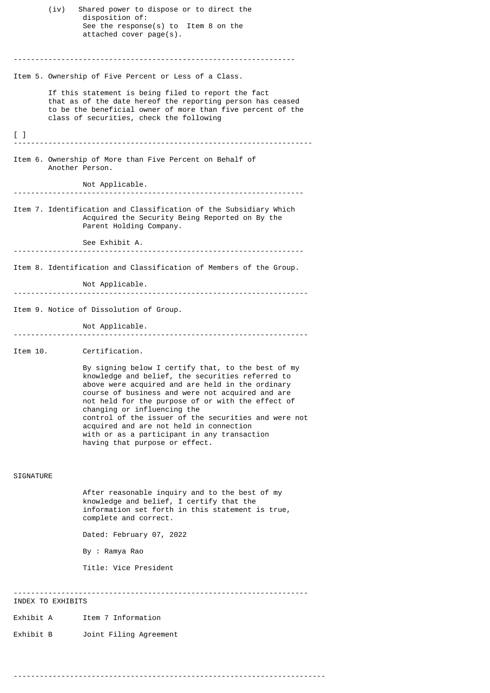disposition of: See the response(s) to Item 8 on the attached cover page(s). ----------------------------------------------------------------- Item 5. Ownership of Five Percent or Less of a Class. If this statement is being filed to report the fact that as of the date hereof the reporting person has ceased to be the beneficial owner of more than five percent of the class of securities, check the following [ ] --------------------------------------------------------------------- Item 6. Ownership of More than Five Percent on Behalf of Another Person. Not Applicable. ------------------------------------------------------------------- Item 7. Identification and Classification of the Subsidiary Which Acquired the Security Being Reported on By the Parent Holding Company. See Exhibit A. ------------------------------------------------------------------- Item 8. Identification and Classification of Members of the Group. Not Applicable. -------------------------------------------------------------------- Item 9. Notice of Dissolution of Group. Not Applicable. -------------------------------------------------------------------- Item 10. Certification. By signing below I certify that, to the best of my knowledge and belief, the securities referred to above were acquired and are held in the ordinary course of business and were not acquired and are not held for the purpose of or with the effect of changing or influencing the control of the issuer of the securities and were not acquired and are not held in connection with or as a participant in any transaction having that purpose or effect. SIGNATURE After reasonable inquiry and to the best of my knowledge and belief, I certify that the information set forth in this statement is true, complete and correct. Dated: February 07, 2022 By : Ramya Rao Title: Vice President -------------------------------------------------------------------- INDEX TO EXHIBITS

(iv) Shared power to dispose or to direct the

- Exhibit A Item 7 Information
- Exhibit B Joint Filing Agreement

------------------------------------------------------------------------